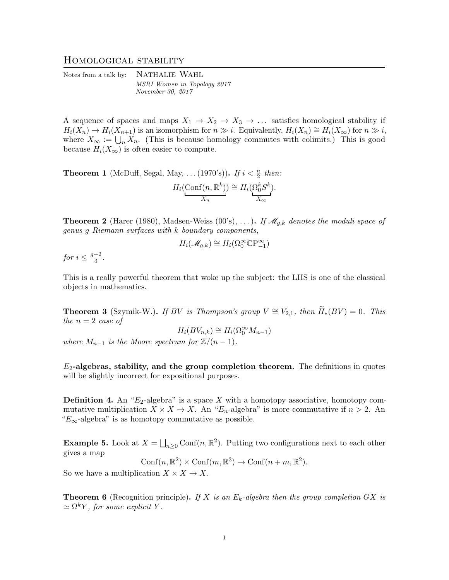## Homological stability

Notes from a talk by: NATHALIE WAHL MSRI Women in Topology 2017 November 30, 2017

A sequence of spaces and maps  $X_1 \rightarrow X_2 \rightarrow X_3 \rightarrow \ldots$  satisfies homological stability if  $H_i(X_n) \to H_i(X_{n+1})$  is an isomorphism for  $n \gg i$ . Equivalently,  $H_i(X_n) \cong H_i(X_\infty)$  for  $n \gg i$ , where  $X_{\infty} := \bigcup_n X_n$ . (This is because homology commutes with colimits.) This is good because  $H_i(X_\infty)$  is often easier to compute.

**Theorem 1** (McDuff, Segal, May, ... (1970's)). If  $i < \frac{n}{2}$  then:

$$
H_i(\underset{X_n}{\text{Conf}}(n,\mathbb{R}^k)) \cong H_i(\underset{X_\infty}{\Omega_0^k}S^k).
$$

**Theorem 2** (Harer (1980), Madsen-Weiss (00's), ...). If  $\mathcal{M}_{q,k}$  denotes the moduli space of genus g Riemann surfaces with k boundary components,

$$
H_i(\mathscr{M}_{g,k}) \cong H_i(\Omega_0^\infty \mathbb{C} P_{-1}^\infty)
$$

for  $i \leq \frac{g-2}{3}$  $\frac{-2}{3}$ .

This is a really powerful theorem that woke up the subject: the LHS is one of the classical objects in mathematics.

**Theorem 3** (Szymik-W.). If BV is Thompson's group  $V \cong V_{2,1}$ , then  $\widetilde{H}_*(BV) = 0$ . This the  $n = 2$  case of

$$
H_i(BV_{n,k}) \cong H_i(\Omega_0^{\infty} M_{n-1})
$$

where  $M_{n-1}$  is the Moore spectrum for  $\mathbb{Z}/(n-1)$ .

 $E_2$ -algebras, stability, and the group completion theorem. The definitions in quotes will be slightly incorrect for expositional purposes.

**Definition 4.** An " $E_2$ -algebra" is a space X with a homotopy associative, homotopy commutative multiplication  $X \times X \to X$ . An " $E_n$ -algebra" is more commutative if  $n > 2$ . An " $E_{\infty}$ -algebra" is as homotopy commutative as possible.

**Example 5.** Look at  $X = \bigsqcup_{n \geq 0} \text{Conf}(n, \mathbb{R}^2)$ . Putting two configurations next to each other gives a map

$$
Conf(n, \mathbb{R}^2) \times Conf(m, \mathbb{R}^3) \to Conf(n+m, \mathbb{R}^2).
$$

So we have a multiplication  $X \times X \to X$ .

**Theorem 6** (Recognition principle). If X is an  $E_k$ -algebra then the group completion GX is  $\simeq \Omega^k Y$ , for some explicit Y.